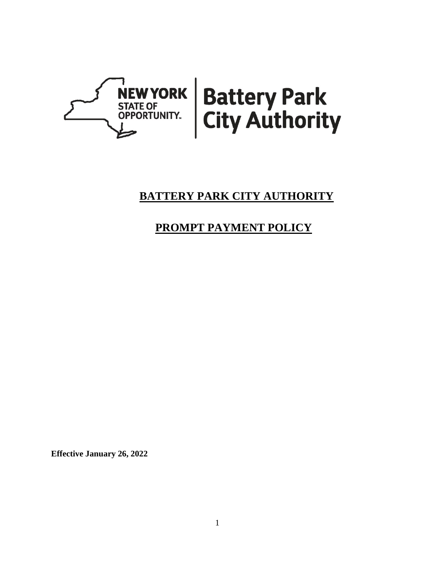

# **BATTERY PARK CITY AUTHORITY**

# **PROMPT PAYMENT POLICY**

**Effective January 26, 2022**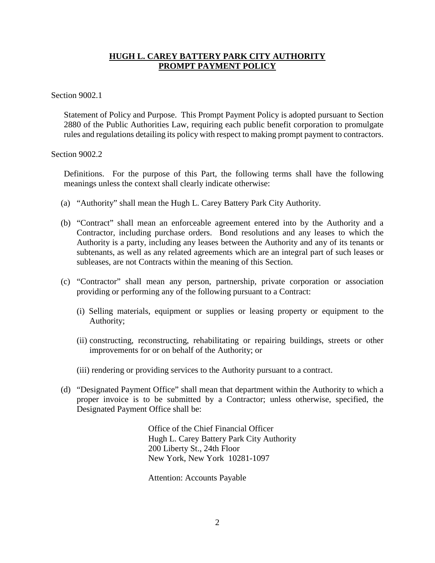## **HUGH L. CAREY BATTERY PARK CITY AUTHORITY PROMPT PAYMENT POLICY**

#### Section 9002.1

Statement of Policy and Purpose. This Prompt Payment Policy is adopted pursuant to Section 2880 of the Public Authorities Law, requiring each public benefit corporation to promulgate rules and regulations detailing its policy with respect to making prompt payment to contractors.

#### Section 9002.2

Definitions. For the purpose of this Part, the following terms shall have the following meanings unless the context shall clearly indicate otherwise:

- (a) "Authority" shall mean the Hugh L. Carey Battery Park City Authority.
- (b) "Contract" shall mean an enforceable agreement entered into by the Authority and a Contractor, including purchase orders. Bond resolutions and any leases to which the Authority is a party, including any leases between the Authority and any of its tenants or subtenants, as well as any related agreements which are an integral part of such leases or subleases, are not Contracts within the meaning of this Section.
- (c) "Contractor" shall mean any person, partnership, private corporation or association providing or performing any of the following pursuant to a Contract:
	- (i) Selling materials, equipment or supplies or leasing property or equipment to the Authority;
	- (ii) constructing, reconstructing, rehabilitating or repairing buildings, streets or other improvements for or on behalf of the Authority; or
	- (iii) rendering or providing services to the Authority pursuant to a contract.
- (d) "Designated Payment Office" shall mean that department within the Authority to which a proper invoice is to be submitted by a Contractor; unless otherwise, specified, the Designated Payment Office shall be:

Office of the Chief Financial Officer Hugh L. Carey Battery Park City Authority 200 Liberty St., 24th Floor New York, New York 10281-1097

Attention: Accounts Payable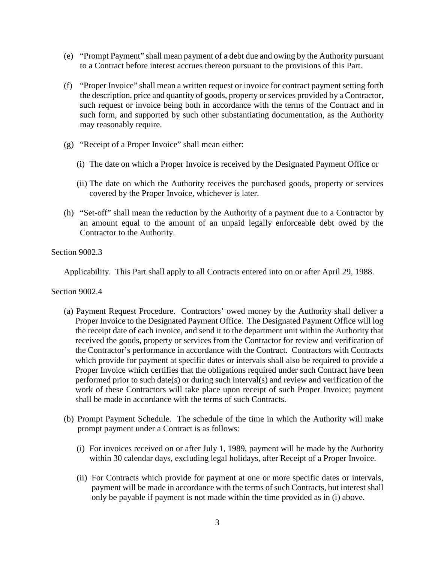- (e) "Prompt Payment" shall mean payment of a debt due and owing by the Authority pursuant to a Contract before interest accrues thereon pursuant to the provisions of this Part.
- (f) "Proper Invoice" shall mean a written request or invoice for contract payment setting forth the description, price and quantity of goods, property or services provided by a Contractor, such request or invoice being both in accordance with the terms of the Contract and in such form, and supported by such other substantiating documentation, as the Authority may reasonably require.
- (g) "Receipt of a Proper Invoice" shall mean either:
	- (i) The date on which a Proper Invoice is received by the Designated Payment Office or
	- (ii) The date on which the Authority receives the purchased goods, property or services covered by the Proper Invoice, whichever is later.
- (h) "Set-off" shall mean the reduction by the Authority of a payment due to a Contractor by an amount equal to the amount of an unpaid legally enforceable debt owed by the Contractor to the Authority.

Section 9002.3

Applicability. This Part shall apply to all Contracts entered into on or after April 29, 1988.

Section 9002.4

- (a) Payment Request Procedure. Contractors' owed money by the Authority shall deliver a Proper Invoice to the Designated Payment Office. The Designated Payment Office will log the receipt date of each invoice, and send it to the department unit within the Authority that received the goods, property or services from the Contractor for review and verification of the Contractor's performance in accordance with the Contract. Contractors with Contracts which provide for payment at specific dates or intervals shall also be required to provide a Proper Invoice which certifies that the obligations required under such Contract have been performed prior to such date(s) or during such interval(s) and review and verification of the work of these Contractors will take place upon receipt of such Proper Invoice; payment shall be made in accordance with the terms of such Contracts.
- (b) Prompt Payment Schedule. The schedule of the time in which the Authority will make prompt payment under a Contract is as follows:
	- (i) For invoices received on or after July 1, 1989, payment will be made by the Authority within 30 calendar days, excluding legal holidays, after Receipt of a Proper Invoice.
	- (ii) For Contracts which provide for payment at one or more specific dates or intervals, payment will be made in accordance with the terms of such Contracts, but interest shall only be payable if payment is not made within the time provided as in (i) above.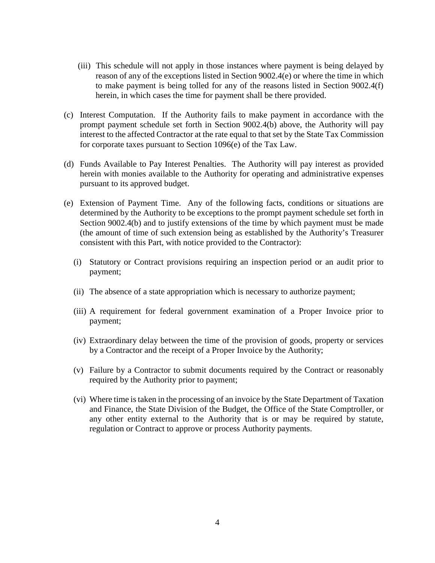- (iii) This schedule will not apply in those instances where payment is being delayed by reason of any of the exceptions listed in Section 9002.4(e) or where the time in which to make payment is being tolled for any of the reasons listed in Section 9002.4(f) herein, in which cases the time for payment shall be there provided.
- (c) Interest Computation. If the Authority fails to make payment in accordance with the prompt payment schedule set forth in Section 9002.4(b) above, the Authority will pay interest to the affected Contractor at the rate equal to that set by the State Tax Commission for corporate taxes pursuant to Section 1096(e) of the Tax Law.
- (d) Funds Available to Pay Interest Penalties. The Authority will pay interest as provided herein with monies available to the Authority for operating and administrative expenses pursuant to its approved budget.
- (e) Extension of Payment Time. Any of the following facts, conditions or situations are determined by the Authority to be exceptions to the prompt payment schedule set forth in Section 9002.4(b) and to justify extensions of the time by which payment must be made (the amount of time of such extension being as established by the Authority's Treasurer consistent with this Part, with notice provided to the Contractor):
	- (i) Statutory or Contract provisions requiring an inspection period or an audit prior to payment;
	- (ii) The absence of a state appropriation which is necessary to authorize payment;
	- (iii) A requirement for federal government examination of a Proper Invoice prior to payment;
	- (iv) Extraordinary delay between the time of the provision of goods, property or services by a Contractor and the receipt of a Proper Invoice by the Authority;
	- (v) Failure by a Contractor to submit documents required by the Contract or reasonably required by the Authority prior to payment;
	- (vi) Where time is taken in the processing of an invoice by the State Department of Taxation and Finance, the State Division of the Budget, the Office of the State Comptroller, or any other entity external to the Authority that is or may be required by statute, regulation or Contract to approve or process Authority payments.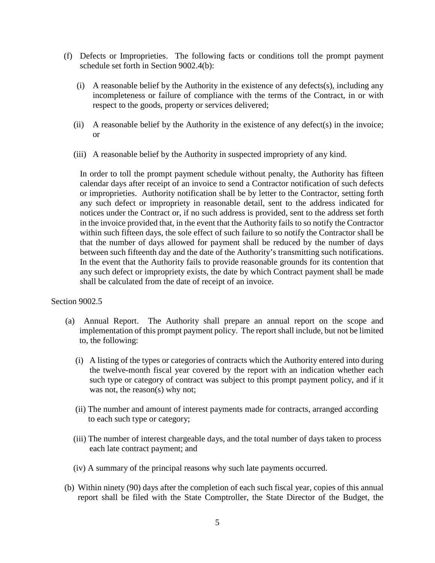- (f) Defects or Improprieties. The following facts or conditions toll the prompt payment schedule set forth in Section 9002.4(b):
	- (i) A reasonable belief by the Authority in the existence of any defects(s), including any incompleteness or failure of compliance with the terms of the Contract, in or with respect to the goods, property or services delivered;
	- (ii) A reasonable belief by the Authority in the existence of any defect(s) in the invoice; or
	- (iii) A reasonable belief by the Authority in suspected impropriety of any kind.

In order to toll the prompt payment schedule without penalty, the Authority has fifteen calendar days after receipt of an invoice to send a Contractor notification of such defects or improprieties. Authority notification shall be by letter to the Contractor, setting forth any such defect or impropriety in reasonable detail, sent to the address indicated for notices under the Contract or, if no such address is provided, sent to the address set forth in the invoice provided that, in the event that the Authority fails to so notify the Contractor within such fifteen days, the sole effect of such failure to so notify the Contractor shall be that the number of days allowed for payment shall be reduced by the number of days between such fifteenth day and the date of the Authority's transmitting such notifications. In the event that the Authority fails to provide reasonable grounds for its contention that any such defect or impropriety exists, the date by which Contract payment shall be made shall be calculated from the date of receipt of an invoice.

### Section 9002.5

- (a) Annual Report. The Authority shall prepare an annual report on the scope and implementation of this prompt payment policy. The report shall include, but not be limited to, the following:
	- (i) A listing of the types or categories of contracts which the Authority entered into during the twelve-month fiscal year covered by the report with an indication whether each such type or category of contract was subject to this prompt payment policy, and if it was not, the reason(s) why not;
	- (ii) The number and amount of interest payments made for contracts, arranged according to each such type or category;
	- (iii) The number of interest chargeable days, and the total number of days taken to process each late contract payment; and
	- (iv) A summary of the principal reasons why such late payments occurred.
- (b) Within ninety (90) days after the completion of each such fiscal year, copies of this annual report shall be filed with the State Comptroller, the State Director of the Budget, the